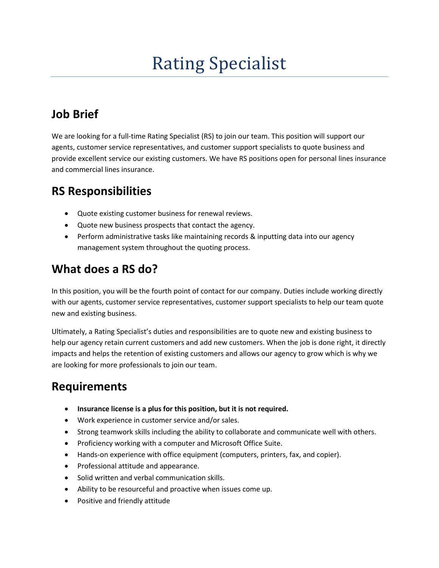# Rating Specialist

# **Job Brief**

We are looking for a full-time Rating Specialist (RS) to join our team. This position will support our agents, customer service representatives, and customer support specialists to quote business and provide excellent service our existing customers. We have RS positions open for personal lines insurance and commercial lines insurance.

#### **RS Responsibilities**

- Quote existing customer business for renewal reviews.
- Quote new business prospects that contact the agency.
- Perform administrative tasks like maintaining records & inputting data into our agency management system throughout the quoting process.

#### **What does a RS do?**

In this position, you will be the fourth point of contact for our company. Duties include working directly with our agents, customer service representatives, customer support specialists to help our team quote new and existing business.

Ultimately, a Rating Specialist's duties and responsibilities are to quote new and existing business to help our agency retain current customers and add new customers. When the job is done right, it directly impacts and helps the retention of existing customers and allows our agency to grow which is why we are looking for more professionals to join our team.

# **Requirements**

- **Insurance license is a plus for this position, but it is not required.**
- Work experience in customer service and/or sales.
- Strong teamwork skills including the ability to collaborate and communicate well with others.
- Proficiency working with a computer and Microsoft Office Suite.
- Hands-on experience with office equipment (computers, printers, fax, and copier).
- Professional attitude and appearance.
- Solid written and verbal communication skills.
- Ability to be resourceful and proactive when issues come up.
- Positive and friendly attitude